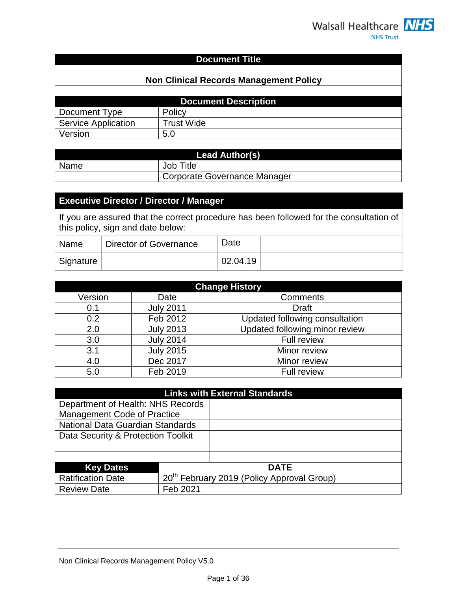#### **Document Title**

| <b>Non Clinical Records Management Policy</b> |                                     |  |
|-----------------------------------------------|-------------------------------------|--|
|                                               | <b>Document Description</b>         |  |
| Document Type                                 | Policy                              |  |
| <b>Service Application</b>                    | <b>Trust Wide</b>                   |  |
| Version                                       | 5.0                                 |  |
|                                               |                                     |  |
| <b>Lead Author(s)</b>                         |                                     |  |
| Name                                          | <b>Job Title</b>                    |  |
|                                               | <b>Corporate Governance Manager</b> |  |

#### **Executive Director / Director / Manager**

If you are assured that the correct procedure has been followed for the consultation of this policy, sign and date below:

| ∣ Name    | Director of Governance | Date     |  |
|-----------|------------------------|----------|--|
| Signature |                        | 02.04.19 |  |

| <b>Change History</b> |                  |                                |  |
|-----------------------|------------------|--------------------------------|--|
| Version               | Date             | Comments                       |  |
| 0.1                   | <b>July 2011</b> | <b>Draft</b>                   |  |
| 0.2                   | Feb 2012         | Updated following consultation |  |
| 2.0                   | <b>July 2013</b> | Updated following minor review |  |
| 3.0                   | <b>July 2014</b> | Full review                    |  |
| 3.1                   | <b>July 2015</b> | Minor review                   |  |
| 4.0                   | Dec 2017         | Minor review                   |  |
| 5.0                   | Feb 2019         | <b>Full review</b>             |  |

| <b>Links with External Standards</b> |          |                                                        |  |
|--------------------------------------|----------|--------------------------------------------------------|--|
| Department of Health: NHS Records    |          |                                                        |  |
| <b>Management Code of Practice</b>   |          |                                                        |  |
| National Data Guardian Standards     |          |                                                        |  |
| Data Security & Protection Toolkit   |          |                                                        |  |
|                                      |          |                                                        |  |
|                                      |          |                                                        |  |
| <b>Key Dates</b>                     |          | <b>DATE</b>                                            |  |
| <b>Ratification Date</b>             |          | 20 <sup>th</sup> February 2019 (Policy Approval Group) |  |
| <b>Review Date</b>                   | Feb 2021 |                                                        |  |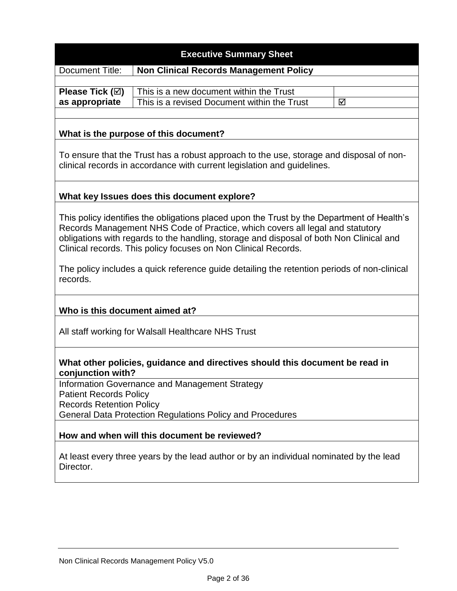# **Executive Summary Sheet**

Document Title: **Non Clinical Records Management Policy**

**Please Tick () as appropriate** This is a new document within the Trust This is a revised Document within the Trust  $\Box$ 

#### **What is the purpose of this document?**

To ensure that the Trust has a robust approach to the use, storage and disposal of nonclinical records in accordance with current legislation and guidelines.

#### **What key Issues does this document explore?**

This policy identifies the obligations placed upon the Trust by the Department of Health's Records Management NHS Code of Practice, which covers all legal and statutory obligations with regards to the handling, storage and disposal of both Non Clinical and Clinical records. This policy focuses on Non Clinical Records.

The policy includes a quick reference guide detailing the retention periods of non-clinical records.

# **Who is this document aimed at?**

All staff working for Walsall Healthcare NHS Trust

#### **What other policies, guidance and directives should this document be read in conjunction with?**

Information Governance and Management Strategy Patient Records Policy Records Retention Policy General Data Protection Regulations Policy and Procedures

#### **How and when will this document be reviewed?**

At least every three years by the lead author or by an individual nominated by the lead Director.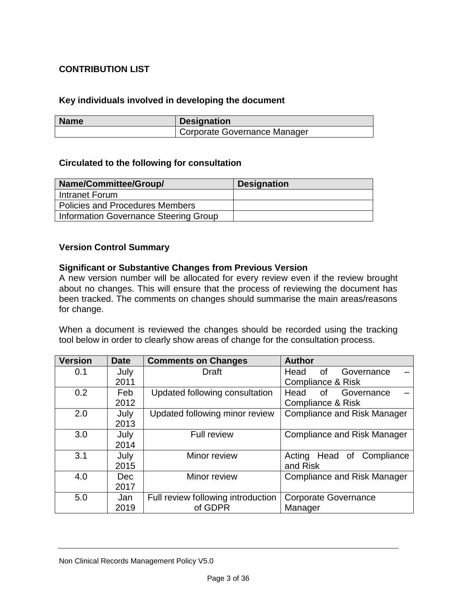# **CONTRIBUTION LIST**

#### **Key individuals involved in developing the document**

| <b>Name</b> | <b>Designation</b>           |
|-------------|------------------------------|
|             | Corporate Governance Manager |

#### **Circulated to the following for consultation**

| Name/Committee/Group/                  | <b>Designation</b> |
|----------------------------------------|--------------------|
| Intranet Forum                         |                    |
| <b>Policies and Procedures Members</b> |                    |
| Information Governance Steering Group  |                    |

#### **Version Control Summary**

#### **Significant or Substantive Changes from Previous Version**

A new version number will be allocated for every review even if the review brought about no changes. This will ensure that the process of reviewing the document has been tracked. The comments on changes should summarise the main areas/reasons for change.

When a document is reviewed the changes should be recorded using the tracking tool below in order to clearly show areas of change for the consultation process.

| <b>Version</b> | <b>Date</b> | <b>Comments on Changes</b>         | <b>Author</b>                      |
|----------------|-------------|------------------------------------|------------------------------------|
| 0.1            | July        | Draft                              | Head<br>Governance<br>0f           |
|                | 2011        |                                    | <b>Compliance &amp; Risk</b>       |
| 0.2            | Feb         | Updated following consultation     | Head<br>Governance<br>of           |
|                | 2012        |                                    | Compliance & Risk                  |
| 2.0            | July        | Updated following minor review     | <b>Compliance and Risk Manager</b> |
|                | 2013        |                                    |                                    |
| 3.0            | July        | <b>Full review</b>                 | <b>Compliance and Risk Manager</b> |
|                | 2014        |                                    |                                    |
| 3.1            | July        | Minor review                       | Acting Head of Compliance          |
|                | 2015        |                                    | and Risk                           |
| 4.0            | <b>Dec</b>  | Minor review                       | <b>Compliance and Risk Manager</b> |
|                | 2017        |                                    |                                    |
| 5.0            | Jan         | Full review following introduction | <b>Corporate Governance</b>        |
|                | 2019        | of GDPR                            | Manager                            |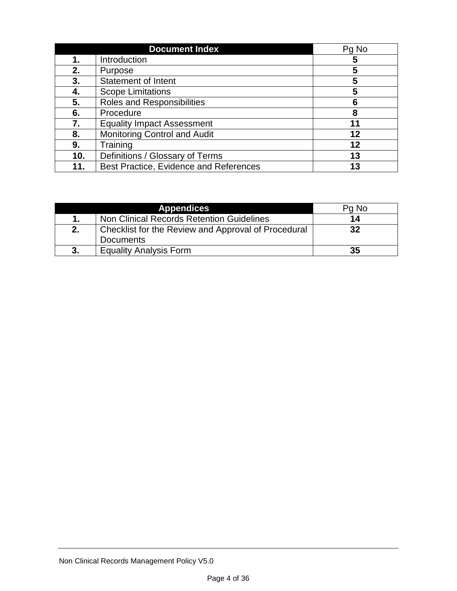|     | <b>Document Index</b>                  | Pg No |
|-----|----------------------------------------|-------|
| 1.  | Introduction                           | 5     |
| 2.  | Purpose                                |       |
| 3.  | Statement of Intent                    | 5     |
| 4.  | <b>Scope Limitations</b>               | 5     |
| 5.  | <b>Roles and Responsibilities</b>      | 6     |
| 6.  | Procedure                              | 8     |
| 7.  | <b>Equality Impact Assessment</b>      | 11    |
| 8.  | <b>Monitoring Control and Audit</b>    | 12    |
| 9.  | Training                               | 12    |
| 10. | Definitions / Glossary of Terms        | 13    |
| 11. | Best Practice, Evidence and References | 13    |

|    | <b>Appendices</b>                                   | Pg No |
|----|-----------------------------------------------------|-------|
|    | Non Clinical Records Retention Guidelines           | 14    |
| 2. | Checklist for the Review and Approval of Procedural | 32    |
|    | <b>Documents</b>                                    |       |
| 3. | <b>Equality Analysis Form</b>                       | 35    |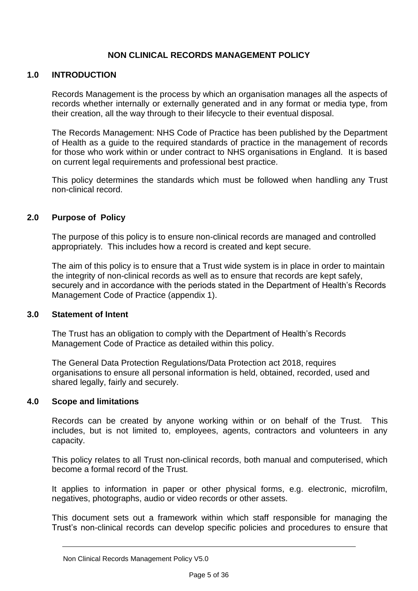# **NON CLINICAL RECORDS MANAGEMENT POLICY**

#### **1.0 INTRODUCTION**

Records Management is the process by which an organisation manages all the aspects of records whether internally or externally generated and in any format or media type, from their creation, all the way through to their lifecycle to their eventual disposal.

The Records Management: NHS Code of Practice has been published by the Department of Health as a guide to the required standards of practice in the management of records for those who work within or under contract to NHS organisations in England. It is based on current legal requirements and professional best practice.

This policy determines the standards which must be followed when handling any Trust non-clinical record.

#### **2.0 Purpose of Policy**

The purpose of this policy is to ensure non-clinical records are managed and controlled appropriately. This includes how a record is created and kept secure.

The aim of this policy is to ensure that a Trust wide system is in place in order to maintain the integrity of non-clinical records as well as to ensure that records are kept safely, securely and in accordance with the periods stated in the Department of Health's Records Management Code of Practice (appendix 1).

#### **3.0 Statement of Intent**

The Trust has an obligation to comply with the Department of Health's Records Management Code of Practice as detailed within this policy.

The General Data Protection Regulations/Data Protection act 2018, requires organisations to ensure all personal information is held, obtained, recorded, used and shared legally, fairly and securely.

#### **4.0 Scope and limitations**

Records can be created by anyone working within or on behalf of the Trust. This includes, but is not limited to, employees, agents, contractors and volunteers in any capacity.

This policy relates to all Trust non-clinical records, both manual and computerised, which become a formal record of the Trust.

It applies to information in paper or other physical forms, e.g. electronic, microfilm, negatives, photographs, audio or video records or other assets.

This document sets out a framework within which staff responsible for managing the Trust's non-clinical records can develop specific policies and procedures to ensure that

Non Clinical Records Management Policy V5.0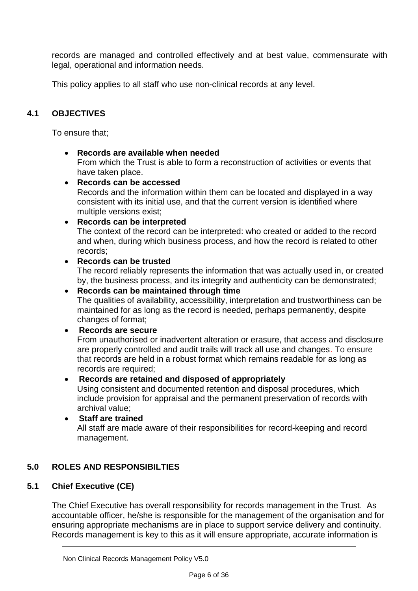records are managed and controlled effectively and at best value, commensurate with legal, operational and information needs.

This policy applies to all staff who use non-clinical records at any level.

# **4.1 OBJECTIVES**

To ensure that;

**Records are available when needed**

From which the Trust is able to form a reconstruction of activities or events that have taken place.

**Records can be accessed**

Records and the information within them can be located and displayed in a way consistent with its initial use, and that the current version is identified where multiple versions exist;

#### **Records can be interpreted**

The context of the record can be interpreted: who created or added to the record and when, during which business process, and how the record is related to other records;

#### **Records can be trusted**

The record reliably represents the information that was actually used in, or created by, the business process, and its integrity and authenticity can be demonstrated;

#### **Records can be maintained through time**

The qualities of availability, accessibility, interpretation and trustworthiness can be maintained for as long as the record is needed, perhaps permanently, despite changes of format;

#### **Records are secure**

From unauthorised or inadvertent alteration or erasure, that access and disclosure are properly controlled and audit trails will track all use and changes. To ensure that records are held in a robust format which remains readable for as long as records are required:

#### **Records are retained and disposed of appropriately**

Using consistent and documented retention and disposal procedures, which include provision for appraisal and the permanent preservation of records with archival value;

# **Staff are trained** All staff are made aware of their responsibilities for record-keeping and record management.

# **5.0 ROLES AND RESPONSIBILTIES**

#### **5.1 Chief Executive (CE)**

The Chief Executive has overall responsibility for records management in the Trust. As accountable officer, he/she is responsible for the management of the organisation and for ensuring appropriate mechanisms are in place to support service delivery and continuity. Records management is key to this as it will ensure appropriate, accurate information is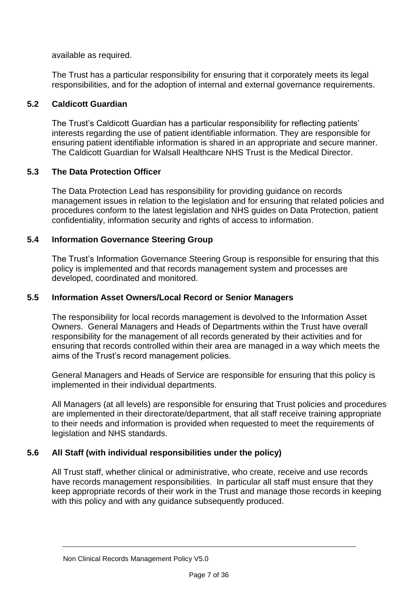available as required.

The Trust has a particular responsibility for ensuring that it corporately meets its legal responsibilities, and for the adoption of internal and external governance requirements.

## **5.2 Caldicott Guardian**

The Trust's Caldicott Guardian has a particular responsibility for reflecting patients' interests regarding the use of patient identifiable information. They are responsible for ensuring patient identifiable information is shared in an appropriate and secure manner. The Caldicott Guardian for Walsall Healthcare NHS Trust is the Medical Director.

#### **5.3 The Data Protection Officer**

The Data Protection Lead has responsibility for providing guidance on records management issues in relation to the legislation and for ensuring that related policies and procedures conform to the latest legislation and NHS guides on Data Protection, patient confidentiality, information security and rights of access to information.

#### **5.4 Information Governance Steering Group**

The Trust's Information Governance Steering Group is responsible for ensuring that this policy is implemented and that records management system and processes are developed, coordinated and monitored.

#### **5.5 Information Asset Owners/Local Record or Senior Managers**

The responsibility for local records management is devolved to the Information Asset Owners. General Managers and Heads of Departments within the Trust have overall responsibility for the management of all records generated by their activities and for ensuring that records controlled within their area are managed in a way which meets the aims of the Trust's record management policies.

General Managers and Heads of Service are responsible for ensuring that this policy is implemented in their individual departments.

All Managers (at all levels) are responsible for ensuring that Trust policies and procedures are implemented in their directorate/department, that all staff receive training appropriate to their needs and information is provided when requested to meet the requirements of legislation and NHS standards.

# **5.6 All Staff (with individual responsibilities under the policy)**

All Trust staff, whether clinical or administrative, who create, receive and use records have records management responsibilities. In particular all staff must ensure that they keep appropriate records of their work in the Trust and manage those records in keeping with this policy and with any quidance subsequently produced.

#### Non Clinical Records Management Policy V5.0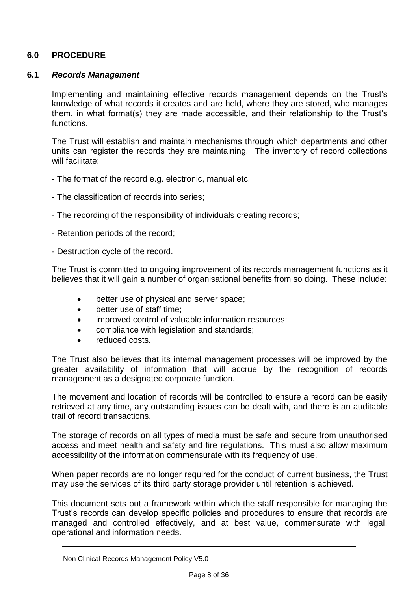## **6.0 PROCEDURE**

#### **6.1** *Records Management*

Implementing and maintaining effective records management depends on the Trust's knowledge of what records it creates and are held, where they are stored, who manages them, in what format(s) they are made accessible, and their relationship to the Trust's functions.

The Trust will establish and maintain mechanisms through which departments and other units can register the records they are maintaining. The inventory of record collections will facilitate:

- The format of the record e.g. electronic, manual etc.
- The classification of records into series;
- The recording of the responsibility of individuals creating records;
- Retention periods of the record;
- Destruction cycle of the record.

The Trust is committed to ongoing improvement of its records management functions as it believes that it will gain a number of organisational benefits from so doing. These include:

- better use of physical and server space;
- better use of staff time:
- improved control of valuable information resources;
- compliance with legislation and standards;
- reduced costs.

The Trust also believes that its internal management processes will be improved by the greater availability of information that will accrue by the recognition of records management as a designated corporate function.

The movement and location of records will be controlled to ensure a record can be easily retrieved at any time, any outstanding issues can be dealt with, and there is an auditable trail of record transactions.

The storage of records on all types of media must be safe and secure from unauthorised access and meet health and safety and fire regulations. This must also allow maximum accessibility of the information commensurate with its frequency of use.

When paper records are no longer required for the conduct of current business, the Trust may use the services of its third party storage provider until retention is achieved.

This document sets out a framework within which the staff responsible for managing the Trust's records can develop specific policies and procedures to ensure that records are managed and controlled effectively, and at best value, commensurate with legal, operational and information needs.

Non Clinical Records Management Policy V5.0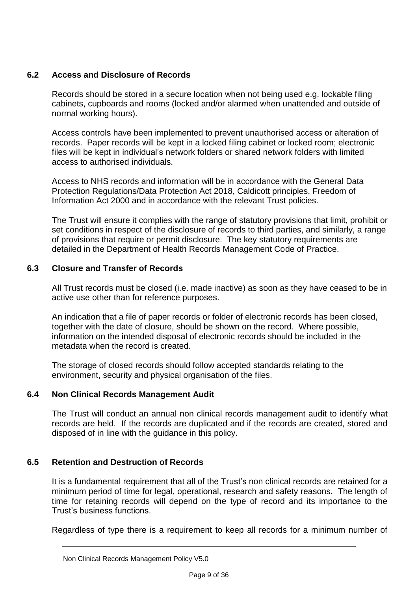# **6.2 Access and Disclosure of Records**

Records should be stored in a secure location when not being used e.g. lockable filing cabinets, cupboards and rooms (locked and/or alarmed when unattended and outside of normal working hours).

Access controls have been implemented to prevent unauthorised access or alteration of records. Paper records will be kept in a locked filing cabinet or locked room; electronic files will be kept in individual's network folders or shared network folders with limited access to authorised individuals.

Access to NHS records and information will be in accordance with the General Data Protection Regulations/Data Protection Act 2018, Caldicott principles, Freedom of Information Act 2000 and in accordance with the relevant Trust policies.

The Trust will ensure it complies with the range of statutory provisions that limit, prohibit or set conditions in respect of the disclosure of records to third parties, and similarly, a range of provisions that require or permit disclosure. The key statutory requirements are detailed in the Department of Health Records Management Code of Practice.

# **6.3 Closure and Transfer of Records**

All Trust records must be closed (i.e. made inactive) as soon as they have ceased to be in active use other than for reference purposes.

An indication that a file of paper records or folder of electronic records has been closed, together with the date of closure, should be shown on the record. Where possible, information on the intended disposal of electronic records should be included in the metadata when the record is created.

The storage of closed records should follow accepted standards relating to the environment, security and physical organisation of the files.

# **6.4 Non Clinical Records Management Audit**

The Trust will conduct an annual non clinical records management audit to identify what records are held. If the records are duplicated and if the records are created, stored and disposed of in line with the guidance in this policy.

# **6.5 Retention and Destruction of Records**

It is a fundamental requirement that all of the Trust's non clinical records are retained for a minimum period of time for legal, operational, research and safety reasons. The length of time for retaining records will depend on the type of record and its importance to the Trust's business functions.

Regardless of type there is a requirement to keep all records for a minimum number of

Non Clinical Records Management Policy V5.0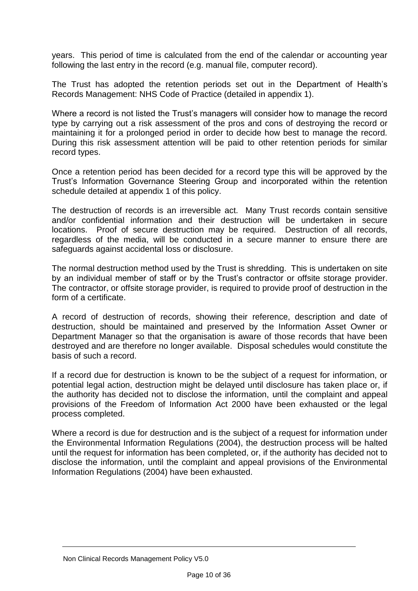years. This period of time is calculated from the end of the calendar or accounting year following the last entry in the record (e.g. manual file, computer record).

The Trust has adopted the retention periods set out in the Department of Health's Records Management: NHS Code of Practice (detailed in appendix 1).

Where a record is not listed the Trust's managers will consider how to manage the record type by carrying out a risk assessment of the pros and cons of destroying the record or maintaining it for a prolonged period in order to decide how best to manage the record. During this risk assessment attention will be paid to other retention periods for similar record types.

Once a retention period has been decided for a record type this will be approved by the Trust's Information Governance Steering Group and incorporated within the retention schedule detailed at appendix 1 of this policy.

The destruction of records is an irreversible act. Many Trust records contain sensitive and/or confidential information and their destruction will be undertaken in secure locations. Proof of secure destruction may be required. Destruction of all records, regardless of the media, will be conducted in a secure manner to ensure there are safeguards against accidental loss or disclosure.

The normal destruction method used by the Trust is shredding. This is undertaken on site by an individual member of staff or by the Trust's contractor or offsite storage provider. The contractor, or offsite storage provider, is required to provide proof of destruction in the form of a certificate.

A record of destruction of records, showing their reference, description and date of destruction, should be maintained and preserved by the Information Asset Owner or Department Manager so that the organisation is aware of those records that have been destroyed and are therefore no longer available. Disposal schedules would constitute the basis of such a record.

If a record due for destruction is known to be the subject of a request for information, or potential legal action, destruction might be delayed until disclosure has taken place or, if the authority has decided not to disclose the information, until the complaint and appeal provisions of the Freedom of Information Act 2000 have been exhausted or the legal process completed.

Where a record is due for destruction and is the subject of a request for information under the Environmental Information Regulations (2004), the destruction process will be halted until the request for information has been completed, or, if the authority has decided not to disclose the information, until the complaint and appeal provisions of the Environmental Information Regulations (2004) have been exhausted.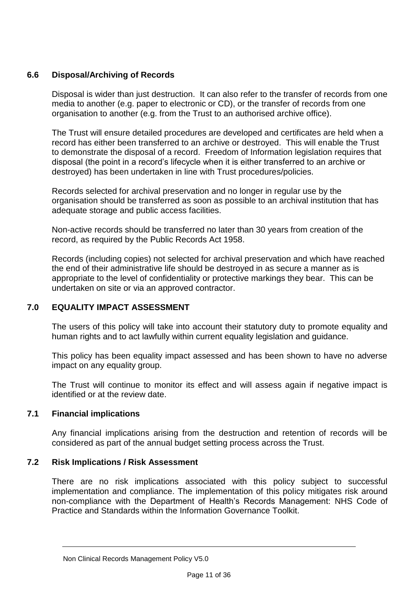## **6.6 Disposal/Archiving of Records**

Disposal is wider than just destruction. It can also refer to the transfer of records from one media to another (e.g. paper to electronic or CD), or the transfer of records from one organisation to another (e.g. from the Trust to an authorised archive office).

The Trust will ensure detailed procedures are developed and certificates are held when a record has either been transferred to an archive or destroyed. This will enable the Trust to demonstrate the disposal of a record. Freedom of Information legislation requires that disposal (the point in a record's lifecycle when it is either transferred to an archive or destroyed) has been undertaken in line with Trust procedures/policies.

Records selected for archival preservation and no longer in regular use by the organisation should be transferred as soon as possible to an archival institution that has adequate storage and public access facilities.

Non-active records should be transferred no later than 30 years from creation of the record, as required by the Public Records Act 1958.

Records (including copies) not selected for archival preservation and which have reached the end of their administrative life should be destroyed in as secure a manner as is appropriate to the level of confidentiality or protective markings they bear. This can be undertaken on site or via an approved contractor.

# **7.0 EQUALITY IMPACT ASSESSMENT**

The users of this policy will take into account their statutory duty to promote equality and human rights and to act lawfully within current equality legislation and guidance.

This policy has been equality impact assessed and has been shown to have no adverse impact on any equality group.

The Trust will continue to monitor its effect and will assess again if negative impact is identified or at the review date.

# **7.1 Financial implications**

Any financial implications arising from the destruction and retention of records will be considered as part of the annual budget setting process across the Trust.

# **7.2 Risk Implications / Risk Assessment**

There are no risk implications associated with this policy subject to successful implementation and compliance. The implementation of this policy mitigates risk around non-compliance with the Department of Health's Records Management: NHS Code of Practice and Standards within the Information Governance Toolkit.

Non Clinical Records Management Policy V5.0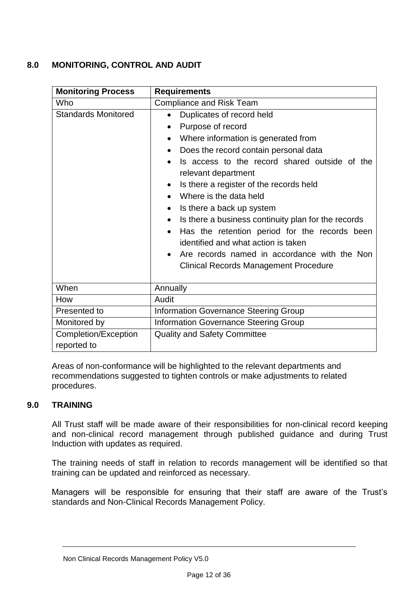# **8.0 MONITORING, CONTROL AND AUDIT**

| <b>Monitoring Process</b>           | <b>Requirements</b>                                                                                                                                                                                                                                                                                                                                                                                                                                                                                                                                                                                                      |
|-------------------------------------|--------------------------------------------------------------------------------------------------------------------------------------------------------------------------------------------------------------------------------------------------------------------------------------------------------------------------------------------------------------------------------------------------------------------------------------------------------------------------------------------------------------------------------------------------------------------------------------------------------------------------|
| Who                                 | <b>Compliance and Risk Team</b>                                                                                                                                                                                                                                                                                                                                                                                                                                                                                                                                                                                          |
| <b>Standards Monitored</b>          | Duplicates of record held<br>$\bullet$<br>Purpose of record<br>Where information is generated from<br>Does the record contain personal data<br>$\bullet$<br>Is access to the record shared outside of the<br>relevant department<br>Is there a register of the records held<br>$\bullet$<br>Where is the data held<br>Is there a back up system<br>$\bullet$<br>Is there a business continuity plan for the records<br>$\bullet$<br>Has the retention period for the records been<br>identified and what action is taken<br>Are records named in accordance with the Non<br><b>Clinical Records Management Procedure</b> |
| When                                | Annually                                                                                                                                                                                                                                                                                                                                                                                                                                                                                                                                                                                                                 |
| How                                 | Audit                                                                                                                                                                                                                                                                                                                                                                                                                                                                                                                                                                                                                    |
| Presented to                        | <b>Information Governance Steering Group</b>                                                                                                                                                                                                                                                                                                                                                                                                                                                                                                                                                                             |
| Monitored by                        | <b>Information Governance Steering Group</b>                                                                                                                                                                                                                                                                                                                                                                                                                                                                                                                                                                             |
| Completion/Exception<br>reported to | <b>Quality and Safety Committee</b>                                                                                                                                                                                                                                                                                                                                                                                                                                                                                                                                                                                      |

Areas of non-conformance will be highlighted to the relevant departments and recommendations suggested to tighten controls or make adjustments to related procedures.

# **9.0 TRAINING**

All Trust staff will be made aware of their responsibilities for non-clinical record keeping and non-clinical record management through published guidance and during Trust Induction with updates as required.

The training needs of staff in relation to records management will be identified so that training can be updated and reinforced as necessary.

Managers will be responsible for ensuring that their staff are aware of the Trust's standards and Non-Clinical Records Management Policy.

Non Clinical Records Management Policy V5.0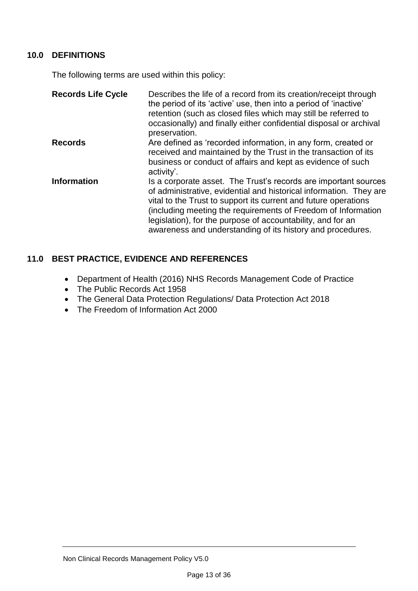# **10.0 DEFINITIONS**

The following terms are used within this policy:

| <b>Records Life Cycle</b> | Describes the life of a record from its creation/receipt through<br>the period of its 'active' use, then into a period of 'inactive'<br>retention (such as closed files which may still be referred to<br>occasionally) and finally either confidential disposal or archival<br>preservation.                                                                                                          |
|---------------------------|--------------------------------------------------------------------------------------------------------------------------------------------------------------------------------------------------------------------------------------------------------------------------------------------------------------------------------------------------------------------------------------------------------|
| <b>Records</b>            | Are defined as 'recorded information, in any form, created or<br>received and maintained by the Trust in the transaction of its<br>business or conduct of affairs and kept as evidence of such<br>activity'.                                                                                                                                                                                           |
| <b>Information</b>        | Is a corporate asset. The Trust's records are important sources<br>of administrative, evidential and historical information. They are<br>vital to the Trust to support its current and future operations<br>(including meeting the requirements of Freedom of Information<br>legislation), for the purpose of accountability, and for an<br>awareness and understanding of its history and procedures. |

# **11.0 BEST PRACTICE, EVIDENCE AND REFERENCES**

- Department of Health (2016) NHS Records Management Code of Practice
- The Public Records Act 1958
- The General Data Protection Regulations/ Data Protection Act 2018
- The Freedom of Information Act 2000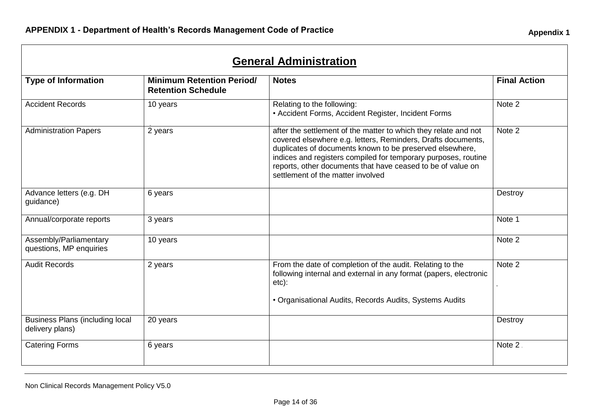| <b>General Administration</b>                             |                                                               |                                                                                                                                                                                                                                                                                                                                                                   |                     |  |
|-----------------------------------------------------------|---------------------------------------------------------------|-------------------------------------------------------------------------------------------------------------------------------------------------------------------------------------------------------------------------------------------------------------------------------------------------------------------------------------------------------------------|---------------------|--|
| <b>Type of Information</b>                                | <b>Minimum Retention Period/</b><br><b>Retention Schedule</b> | <b>Notes</b>                                                                                                                                                                                                                                                                                                                                                      | <b>Final Action</b> |  |
| <b>Accident Records</b>                                   | 10 years                                                      | Relating to the following:<br>• Accident Forms, Accident Register, Incident Forms                                                                                                                                                                                                                                                                                 | Note 2              |  |
| <b>Administration Papers</b>                              | 2 years                                                       | after the settlement of the matter to which they relate and not<br>covered elsewhere e.g. letters, Reminders, Drafts documents,<br>duplicates of documents known to be preserved elsewhere,<br>indices and registers compiled for temporary purposes, routine<br>reports, other documents that have ceased to be of value on<br>settlement of the matter involved | Note 2              |  |
| Advance letters (e.g. DH<br>guidance)                     | 6 years                                                       |                                                                                                                                                                                                                                                                                                                                                                   | Destroy             |  |
| Annual/corporate reports                                  | 3 years                                                       |                                                                                                                                                                                                                                                                                                                                                                   | Note 1              |  |
| Assembly/Parliamentary<br>questions, MP enquiries         | 10 years                                                      |                                                                                                                                                                                                                                                                                                                                                                   | Note 2              |  |
| <b>Audit Records</b>                                      | 2 years                                                       | From the date of completion of the audit. Relating to the<br>following internal and external in any format (papers, electronic<br>etc):<br>• Organisational Audits, Records Audits, Systems Audits                                                                                                                                                                | Note 2              |  |
| <b>Business Plans (including local</b><br>delivery plans) | 20 years                                                      |                                                                                                                                                                                                                                                                                                                                                                   | Destroy             |  |
| <b>Catering Forms</b>                                     | 6 years                                                       |                                                                                                                                                                                                                                                                                                                                                                   | Note 2.             |  |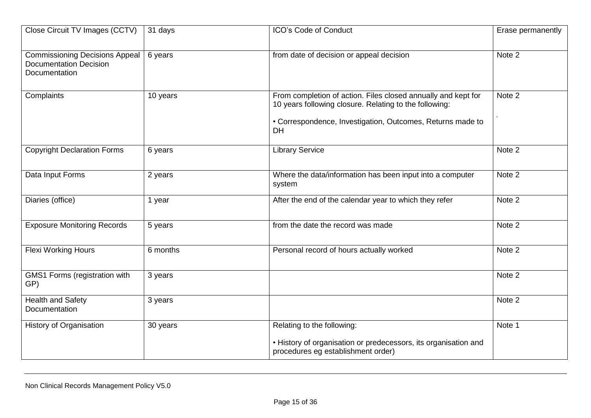| Close Circuit TV Images (CCTV)                                                          | 31 days  | ICO's Code of Conduct                                                                                                                                                                              | Erase permanently |
|-----------------------------------------------------------------------------------------|----------|----------------------------------------------------------------------------------------------------------------------------------------------------------------------------------------------------|-------------------|
| <b>Commissioning Decisions Appeal</b><br><b>Documentation Decision</b><br>Documentation | 6 years  | from date of decision or appeal decision                                                                                                                                                           | Note 2            |
| Complaints                                                                              | 10 years | From completion of action. Files closed annually and kept for<br>10 years following closure. Relating to the following:<br>• Correspondence, Investigation, Outcomes, Returns made to<br><b>DH</b> | Note 2            |
| <b>Copyright Declaration Forms</b>                                                      | 6 years  | <b>Library Service</b>                                                                                                                                                                             | Note 2            |
| Data Input Forms                                                                        | 2 years  | Where the data/information has been input into a computer<br>system                                                                                                                                | Note 2            |
| Diaries (office)                                                                        | 1 year   | After the end of the calendar year to which they refer                                                                                                                                             | Note 2            |
| <b>Exposure Monitoring Records</b>                                                      | 5 years  | from the date the record was made                                                                                                                                                                  | Note 2            |
| <b>Flexi Working Hours</b>                                                              | 6 months | Personal record of hours actually worked                                                                                                                                                           | Note 2            |
| GMS1 Forms (registration with<br>GP)                                                    | 3 years  |                                                                                                                                                                                                    | Note 2            |
| <b>Health and Safety</b><br>Documentation                                               | 3 years  |                                                                                                                                                                                                    | Note 2            |
| <b>History of Organisation</b>                                                          | 30 years | Relating to the following:<br>• History of organisation or predecessors, its organisation and<br>procedures eg establishment order)                                                                | Note 1            |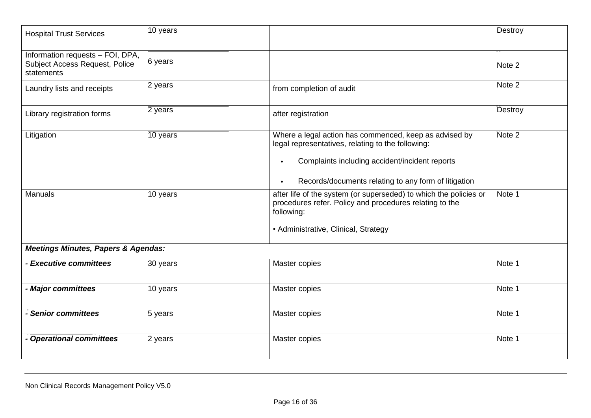| <b>Hospital Trust Services</b>                                                          | 10 years |                                                                                                                                                                                                                       | Destroy |
|-----------------------------------------------------------------------------------------|----------|-----------------------------------------------------------------------------------------------------------------------------------------------------------------------------------------------------------------------|---------|
| Information requests - FOI, DPA,<br><b>Subject Access Request, Police</b><br>statements | 6 years  |                                                                                                                                                                                                                       | Note 2  |
| Laundry lists and receipts                                                              | 2 years  | from completion of audit                                                                                                                                                                                              | Note 2  |
| Library registration forms                                                              | 2 years  | after registration                                                                                                                                                                                                    | Destroy |
| Litigation                                                                              | 10 years | Where a legal action has commenced, keep as advised by<br>legal representatives, relating to the following:<br>Complaints including accident/incident reports<br>Records/documents relating to any form of litigation | Note 2  |
| <b>Manuals</b>                                                                          | 10 years | after life of the system (or superseded) to which the policies or<br>procedures refer. Policy and procedures relating to the<br>following:<br>• Administrative, Clinical, Strategy                                    | Note 1  |
| <b>Meetings Minutes, Papers &amp; Agendas:</b>                                          |          |                                                                                                                                                                                                                       |         |
| - Executive committees                                                                  | 30 years | Master copies                                                                                                                                                                                                         | Note 1  |
| - Major committees                                                                      | 10 years | Master copies                                                                                                                                                                                                         | Note 1  |
| - Senior committees                                                                     | 5 years  | Master copies                                                                                                                                                                                                         | Note 1  |
| - Operational committees                                                                | 2 years  | Master copies                                                                                                                                                                                                         | Note 1  |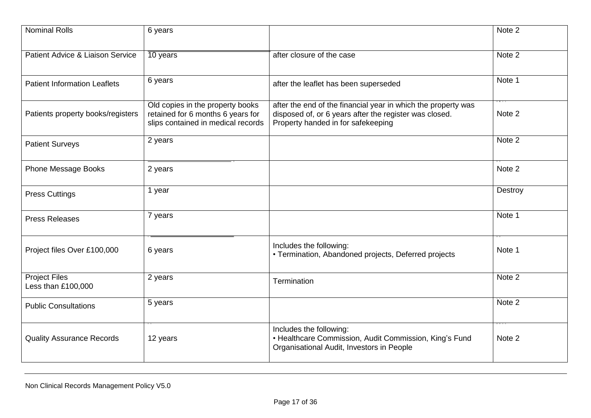| <b>Nominal Rolls</b>                       | 6 years                                                                                                     |                                                                                                                                                               | Note 2  |
|--------------------------------------------|-------------------------------------------------------------------------------------------------------------|---------------------------------------------------------------------------------------------------------------------------------------------------------------|---------|
| Patient Advice & Liaison Service           | 10 years                                                                                                    | after closure of the case                                                                                                                                     | Note 2  |
| <b>Patient Information Leaflets</b>        | 6 years                                                                                                     | after the leaflet has been superseded                                                                                                                         | Note 1  |
| Patients property books/registers          | Old copies in the property books<br>retained for 6 months 6 years for<br>slips contained in medical records | after the end of the financial year in which the property was<br>disposed of, or 6 years after the register was closed.<br>Property handed in for safekeeping | Note 2  |
| <b>Patient Surveys</b>                     | 2 years                                                                                                     |                                                                                                                                                               | Note 2  |
| <b>Phone Message Books</b>                 | 2 years                                                                                                     |                                                                                                                                                               | Note 2  |
| <b>Press Cuttings</b>                      | 1 year                                                                                                      |                                                                                                                                                               | Destroy |
| <b>Press Releases</b>                      | 7 years                                                                                                     |                                                                                                                                                               | Note 1  |
| Project files Over £100,000                | 6 years                                                                                                     | Includes the following:<br>• Termination, Abandoned projects, Deferred projects                                                                               | Note 1  |
| <b>Project Files</b><br>Less than £100,000 | 2 years                                                                                                     | Termination                                                                                                                                                   | Note 2  |
| <b>Public Consultations</b>                | 5 years                                                                                                     |                                                                                                                                                               | Note 2  |
| <b>Quality Assurance Records</b>           | 12 years                                                                                                    | Includes the following:<br>• Healthcare Commission, Audit Commission, King's Fund<br>Organisational Audit, Investors in People                                | Note 2  |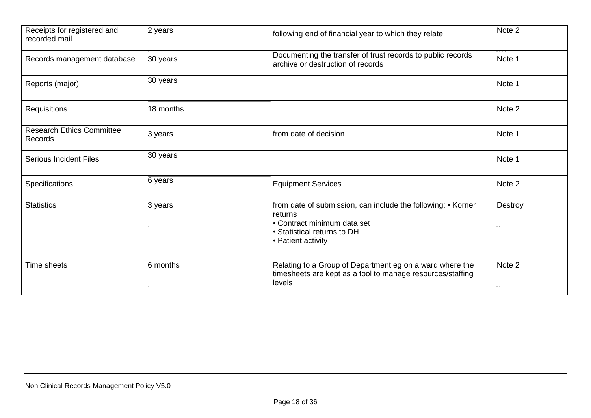| Receipts for registered and<br>recorded mail | 2 years   | following end of financial year to which they relate                                                                                                        | Note 2                          |
|----------------------------------------------|-----------|-------------------------------------------------------------------------------------------------------------------------------------------------------------|---------------------------------|
| Records management database                  | 30 years  | Documenting the transfer of trust records to public records<br>archive or destruction of records                                                            | Note 1                          |
| Reports (major)                              | 30 years  |                                                                                                                                                             | Note 1                          |
| <b>Requisitions</b>                          | 18 months |                                                                                                                                                             | Note 2                          |
| <b>Research Ethics Committee</b><br>Records  | 3 years   | from date of decision                                                                                                                                       | Note 1                          |
| <b>Serious Incident Files</b>                | 30 years  |                                                                                                                                                             | Note 1                          |
| Specifications                               | 6 years   | <b>Equipment Services</b>                                                                                                                                   | Note 2                          |
| <b>Statistics</b>                            | 3 years   | from date of submission, can include the following: • Korner<br>returns<br>• Contract minimum data set<br>• Statistical returns to DH<br>• Patient activity | Destroy<br>$\alpha$ , $\alpha$  |
| Time sheets                                  | 6 months  | Relating to a Group of Department eg on a ward where the<br>timesheets are kept as a tool to manage resources/staffing<br>levels                            | Note 2<br>$\alpha$ , $\alpha$ , |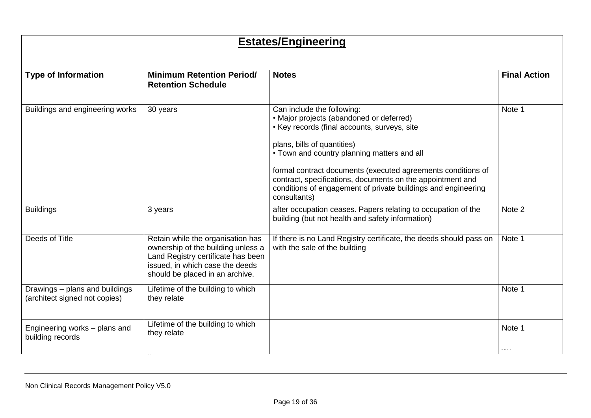# **Estates/Engineering**

| <b>Type of Information</b>                                      | <b>Minimum Retention Period/</b>                                                                                                                                                    | <b>Notes</b>                                                                                                                                                                                                                                                                                                                                                                                                        | <b>Final Action</b> |
|-----------------------------------------------------------------|-------------------------------------------------------------------------------------------------------------------------------------------------------------------------------------|---------------------------------------------------------------------------------------------------------------------------------------------------------------------------------------------------------------------------------------------------------------------------------------------------------------------------------------------------------------------------------------------------------------------|---------------------|
|                                                                 | <b>Retention Schedule</b>                                                                                                                                                           |                                                                                                                                                                                                                                                                                                                                                                                                                     |                     |
| Buildings and engineering works                                 | 30 years                                                                                                                                                                            | Can include the following:<br>• Major projects (abandoned or deferred)<br>• Key records (final accounts, surveys, site<br>plans, bills of quantities)<br>• Town and country planning matters and all<br>formal contract documents (executed agreements conditions of<br>contract, specifications, documents on the appointment and<br>conditions of engagement of private buildings and engineering<br>consultants) | Note 1              |
| <b>Buildings</b>                                                | 3 years                                                                                                                                                                             | after occupation ceases. Papers relating to occupation of the<br>building (but not health and safety information)                                                                                                                                                                                                                                                                                                   | Note 2              |
| Deeds of Title                                                  | Retain while the organisation has<br>ownership of the building unless a<br>Land Registry certificate has been<br>issued, in which case the deeds<br>should be placed in an archive. | If there is no Land Registry certificate, the deeds should pass on<br>with the sale of the building                                                                                                                                                                                                                                                                                                                 | Note 1              |
| Drawings - plans and buildings<br>(architect signed not copies) | Lifetime of the building to which<br>they relate                                                                                                                                    |                                                                                                                                                                                                                                                                                                                                                                                                                     | Note 1              |
| Engineering works - plans and<br>building records               | Lifetime of the building to which<br>they relate                                                                                                                                    |                                                                                                                                                                                                                                                                                                                                                                                                                     | Note 1              |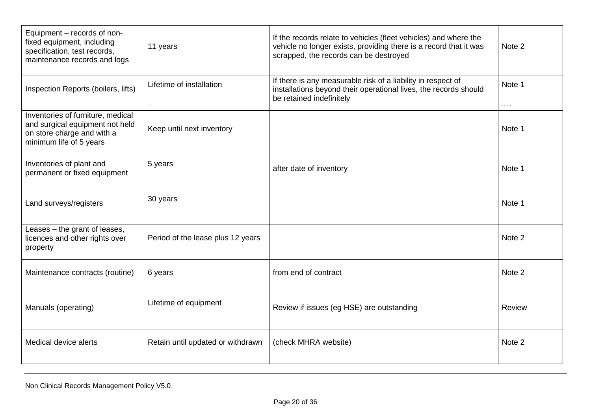| Equipment - records of non-<br>fixed equipment, including<br>specification, test records,<br>maintenance records and logs     | 11 years                          | If the records relate to vehicles (fleet vehicles) and where the<br>vehicle no longer exists, providing there is a record that it was<br>scrapped, the records can be destroyed | Note 2                                   |
|-------------------------------------------------------------------------------------------------------------------------------|-----------------------------------|---------------------------------------------------------------------------------------------------------------------------------------------------------------------------------|------------------------------------------|
| Inspection Reports (boilers, lifts)                                                                                           | Lifetime of installation          | If there is any measurable risk of a liability in respect of<br>installations beyond their operational lives, the records should<br>be retained indefinitely                    | Note 1<br>$\alpha$ , $\alpha$ , $\alpha$ |
| Inventories of furniture, medical<br>and surgical equipment not held<br>on store charge and with a<br>minimum life of 5 years | Keep until next inventory         |                                                                                                                                                                                 | Note 1                                   |
| Inventories of plant and<br>permanent or fixed equipment                                                                      | 5 years                           | after date of inventory                                                                                                                                                         | Note 1                                   |
| Land surveys/registers                                                                                                        | 30 years                          |                                                                                                                                                                                 | Note 1                                   |
| Leases - the grant of leases,<br>licences and other rights over<br>property                                                   | Period of the lease plus 12 years |                                                                                                                                                                                 | Note 2                                   |
| Maintenance contracts (routine)                                                                                               | 6 years                           | from end of contract                                                                                                                                                            | Note 2                                   |
| Manuals (operating)                                                                                                           | Lifetime of equipment             | Review if issues (eg HSE) are outstanding                                                                                                                                       | Review                                   |
| Medical device alerts                                                                                                         | Retain until updated or withdrawn | (check MHRA website)                                                                                                                                                            | Note 2                                   |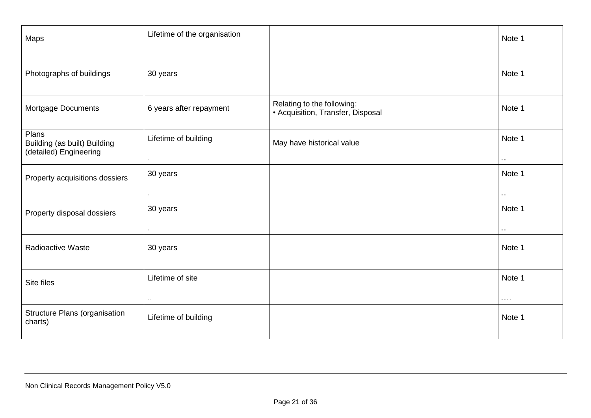| Maps                                                            | Lifetime of the organisation       |                                                                 | Note 1                                                   |
|-----------------------------------------------------------------|------------------------------------|-----------------------------------------------------------------|----------------------------------------------------------|
| Photographs of buildings                                        | 30 years                           |                                                                 | Note 1                                                   |
| Mortgage Documents                                              | 6 years after repayment            | Relating to the following:<br>• Acquisition, Transfer, Disposal | Note 1                                                   |
| Plans<br>Building (as built) Building<br>(detailed) Engineering | Lifetime of building               | May have historical value                                       | Note 1                                                   |
| Property acquisitions dossiers                                  | 30 years                           |                                                                 | Note 1<br>$\sim$ $\sim$                                  |
| Property disposal dossiers                                      | 30 years                           |                                                                 | Note 1<br>$\sim$ $\sim$                                  |
| <b>Radioactive Waste</b>                                        | 30 years                           |                                                                 | Note 1                                                   |
| Site files                                                      | Lifetime of site<br>$\sim 10^{-1}$ |                                                                 | Note 1<br>$\alpha \rightarrow \alpha \rightarrow \alpha$ |
| Structure Plans (organisation<br>charts)                        | Lifetime of building               |                                                                 | Note 1                                                   |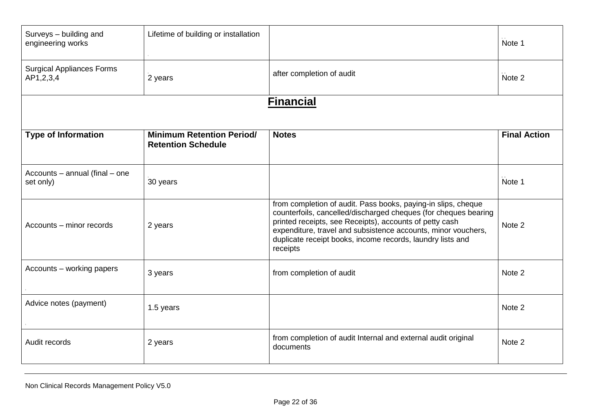| Surveys - building and<br>engineering works   | Lifetime of building or installation                          |                                                                                                                                                                                                                                                                                                                                        | Note 1              |
|-----------------------------------------------|---------------------------------------------------------------|----------------------------------------------------------------------------------------------------------------------------------------------------------------------------------------------------------------------------------------------------------------------------------------------------------------------------------------|---------------------|
| <b>Surgical Appliances Forms</b><br>AP1,2,3,4 | 2 years                                                       | after completion of audit                                                                                                                                                                                                                                                                                                              | Note 2              |
|                                               |                                                               | <b>Financial</b>                                                                                                                                                                                                                                                                                                                       |                     |
| <b>Type of Information</b>                    | <b>Minimum Retention Period/</b><br><b>Retention Schedule</b> | <b>Notes</b>                                                                                                                                                                                                                                                                                                                           | <b>Final Action</b> |
| Accounts - annual (final - one<br>set only)   | 30 years                                                      |                                                                                                                                                                                                                                                                                                                                        | Note 1              |
| Accounts - minor records                      | 2 years                                                       | from completion of audit. Pass books, paying-in slips, cheque<br>counterfoils, cancelled/discharged cheques (for cheques bearing<br>printed receipts, see Receipts), accounts of petty cash<br>expenditure, travel and subsistence accounts, minor vouchers,<br>duplicate receipt books, income records, laundry lists and<br>receipts | Note 2              |
| Accounts - working papers                     | 3 years                                                       | from completion of audit                                                                                                                                                                                                                                                                                                               | Note 2              |
| Advice notes (payment)                        | 1.5 years                                                     |                                                                                                                                                                                                                                                                                                                                        | Note 2              |
| Audit records                                 | 2 years                                                       | from completion of audit Internal and external audit original<br>documents                                                                                                                                                                                                                                                             | Note 2              |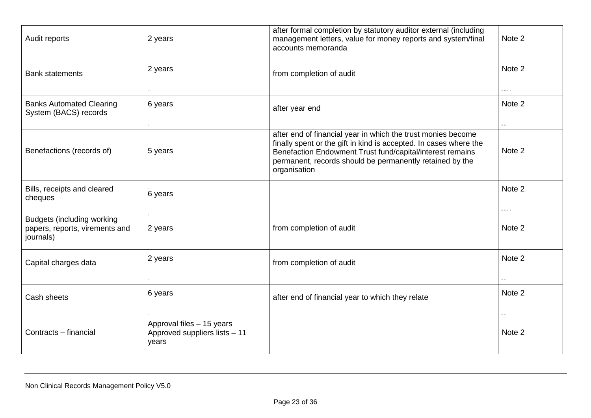| Audit reports                                                                    | 2 years                                                             | after formal completion by statutory auditor external (including<br>management letters, value for money reports and system/final<br>accounts memoranda                                                                                                                     | Note 2                                              |
|----------------------------------------------------------------------------------|---------------------------------------------------------------------|----------------------------------------------------------------------------------------------------------------------------------------------------------------------------------------------------------------------------------------------------------------------------|-----------------------------------------------------|
| <b>Bank statements</b>                                                           | 2 years                                                             | from completion of audit                                                                                                                                                                                                                                                   | Note 2                                              |
|                                                                                  |                                                                     |                                                                                                                                                                                                                                                                            | $\alpha$ , $\alpha$ , $\alpha$                      |
| <b>Banks Automated Clearing</b><br>System (BACS) records                         | 6 years                                                             | after year end                                                                                                                                                                                                                                                             | Note 2<br>$\sim$ $\sim$                             |
| Benefactions (records of)                                                        | 5 years                                                             | after end of financial year in which the trust monies become<br>finally spent or the gift in kind is accepted. In cases where the<br>Benefaction Endowment Trust fund/capital/interest remains<br>permanent, records should be permanently retained by the<br>organisation | Note 2                                              |
| Bills, receipts and cleared<br>cheques                                           | 6 years                                                             |                                                                                                                                                                                                                                                                            | Note 2<br>$\alpha$ , $\alpha$ , $\alpha$ , $\alpha$ |
| <b>Budgets (including working</b><br>papers, reports, virements and<br>journals) | 2 years                                                             | from completion of audit                                                                                                                                                                                                                                                   | Note 2                                              |
| Capital charges data                                                             | 2 years                                                             | from completion of audit                                                                                                                                                                                                                                                   | Note 2                                              |
| Cash sheets                                                                      | 6 years                                                             | after end of financial year to which they relate                                                                                                                                                                                                                           | Note 2                                              |
| Contracts - financial                                                            | Approval files - 15 years<br>Approved suppliers lists - 11<br>years |                                                                                                                                                                                                                                                                            | Note 2                                              |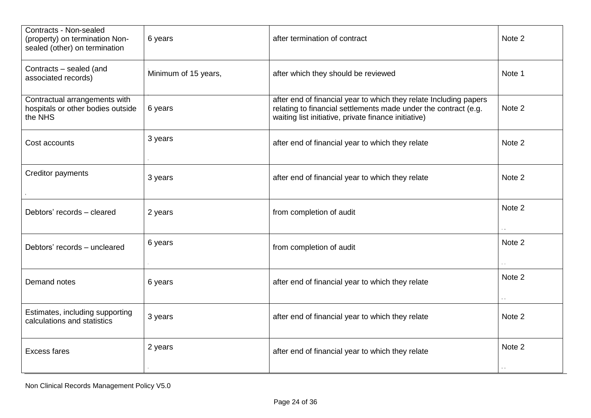| Contracts - Non-sealed<br>(property) on termination Non-<br>sealed (other) on termination | 6 years              | after termination of contract                                                                                                                                                                | Note 2 |
|-------------------------------------------------------------------------------------------|----------------------|----------------------------------------------------------------------------------------------------------------------------------------------------------------------------------------------|--------|
| Contracts - sealed (and<br>associated records)                                            | Minimum of 15 years, | after which they should be reviewed                                                                                                                                                          | Note 1 |
| Contractual arrangements with<br>hospitals or other bodies outside<br>the NHS             | 6 years              | after end of financial year to which they relate Including papers<br>relating to financial settlements made under the contract (e.g.<br>waiting list initiative, private finance initiative) | Note 2 |
| Cost accounts                                                                             | 3 years              | after end of financial year to which they relate                                                                                                                                             | Note 2 |
| <b>Creditor payments</b>                                                                  | 3 years              | after end of financial year to which they relate                                                                                                                                             | Note 2 |
| Debtors' records - cleared                                                                | 2 years              | from completion of audit                                                                                                                                                                     | Note 2 |
| Debtors' records - uncleared                                                              | 6 years              | from completion of audit                                                                                                                                                                     | Note 2 |
| Demand notes                                                                              | 6 years              | after end of financial year to which they relate                                                                                                                                             | Note 2 |
| Estimates, including supporting<br>calculations and statistics                            | 3 years              | after end of financial year to which they relate                                                                                                                                             | Note 2 |
| <b>Excess fares</b>                                                                       | 2 years              | after end of financial year to which they relate                                                                                                                                             | Note 2 |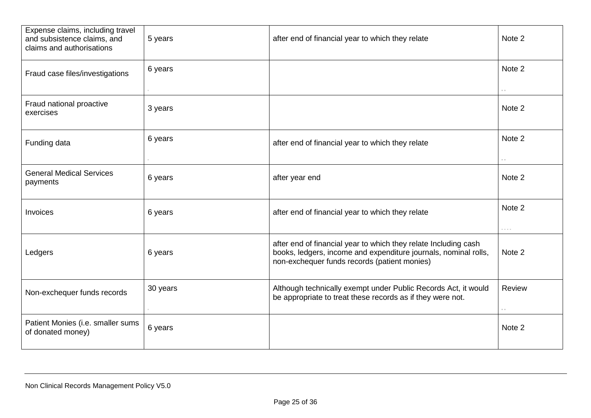| Expense claims, including travel<br>and subsistence claims, and<br>claims and authorisations | 5 years  | after end of financial year to which they relate                                                                                                                                   | Note 2                                   |
|----------------------------------------------------------------------------------------------|----------|------------------------------------------------------------------------------------------------------------------------------------------------------------------------------------|------------------------------------------|
| Fraud case files/investigations                                                              | 6 years  |                                                                                                                                                                                    | Note 2                                   |
| Fraud national proactive<br>exercises                                                        | 3 years  |                                                                                                                                                                                    | $\alpha \rightarrow 0$<br>Note 2         |
| Funding data                                                                                 | 6 years  | after end of financial year to which they relate                                                                                                                                   | Note 2                                   |
| <b>General Medical Services</b><br>payments                                                  | 6 years  | after year end                                                                                                                                                                     | Note 2                                   |
| Invoices                                                                                     | 6 years  | after end of financial year to which they relate                                                                                                                                   | Note 2<br>$\alpha$ , $\alpha$ , $\alpha$ |
| Ledgers                                                                                      | 6 years  | after end of financial year to which they relate Including cash<br>books, ledgers, income and expenditure journals, nominal rolls,<br>non-exchequer funds records (patient monies) | Note 2                                   |
| Non-exchequer funds records                                                                  | 30 years | Although technically exempt under Public Records Act, it would<br>be appropriate to treat these records as if they were not.                                                       | Review                                   |
| Patient Monies (i.e. smaller sums<br>of donated money)                                       | 6 years  |                                                                                                                                                                                    | Note 2                                   |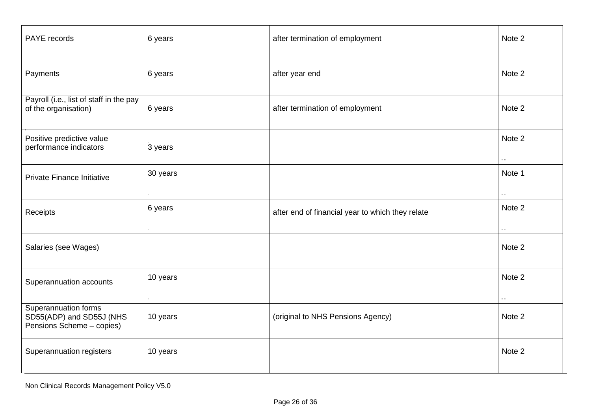| PAYE records                                                                  | 6 years  | after termination of employment                  | Note 2        |
|-------------------------------------------------------------------------------|----------|--------------------------------------------------|---------------|
| Payments                                                                      | 6 years  | after year end                                   | Note 2        |
| Payroll (i.e., list of staff in the pay<br>of the organisation)               | 6 years  | after termination of employment                  | Note 2        |
| Positive predictive value<br>performance indicators                           | 3 years  |                                                  | Note 2        |
| Private Finance Initiative                                                    | 30 years |                                                  | Note 1<br>o e |
| Receipts                                                                      | 6 years  | after end of financial year to which they relate | Note 2        |
| Salaries (see Wages)                                                          |          |                                                  | Note 2        |
| Superannuation accounts                                                       | 10 years |                                                  | Note 2        |
| Superannuation forms<br>SD55(ADP) and SD55J (NHS<br>Pensions Scheme - copies) | 10 years | (original to NHS Pensions Agency)                | Note 2        |
| Superannuation registers                                                      | 10 years |                                                  | Note 2        |

Non Clinical Records Management Policy V5.0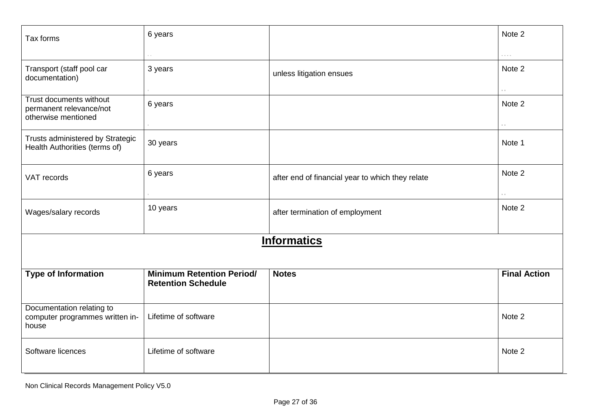| Tax forms                                                                 | 6 years                                                       |                                                  | Note 2                         |
|---------------------------------------------------------------------------|---------------------------------------------------------------|--------------------------------------------------|--------------------------------|
|                                                                           | $\sim$                                                        |                                                  | $\alpha$ , $\alpha$ , $\alpha$ |
| Transport (staff pool car<br>documentation)                               | 3 years                                                       | unless litigation ensues                         | Note 2                         |
| Trust documents without<br>permanent relevance/not<br>otherwise mentioned | 6 years                                                       |                                                  | Note 2<br>a.                   |
| Trusts administered by Strategic<br>Health Authorities (terms of)         | 30 years                                                      |                                                  | Note 1                         |
| VAT records                                                               | 6 years                                                       | after end of financial year to which they relate | Note 2<br>$\sim$ $\sim$        |
| Wages/salary records                                                      | 10 years                                                      | after termination of employment                  | Note 2                         |
|                                                                           |                                                               | <b>Informatics</b>                               |                                |
| <b>Type of Information</b>                                                | <b>Minimum Retention Period/</b><br><b>Retention Schedule</b> | <b>Notes</b>                                     | <b>Final Action</b>            |
| Documentation relating to<br>computer programmes written in-<br>house     | Lifetime of software                                          |                                                  | Note 2                         |
| Software licences                                                         | Lifetime of software                                          |                                                  | Note 2                         |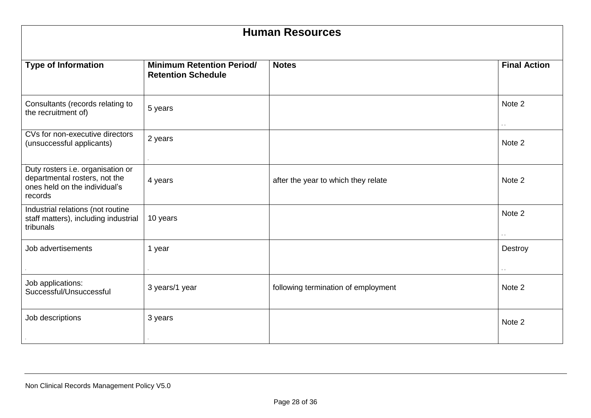| <b>Human Resources</b>                                                                                         |                                                               |                                     |                     |  |
|----------------------------------------------------------------------------------------------------------------|---------------------------------------------------------------|-------------------------------------|---------------------|--|
| <b>Type of Information</b>                                                                                     | <b>Minimum Retention Period/</b><br><b>Retention Schedule</b> | <b>Notes</b>                        | <b>Final Action</b> |  |
| Consultants (records relating to<br>the recruitment of)                                                        | 5 years                                                       |                                     | Note 2              |  |
| CVs for non-executive directors<br>(unsuccessful applicants)                                                   | 2 years                                                       |                                     | Note 2              |  |
| Duty rosters i.e. organisation or<br>departmental rosters, not the<br>ones held on the individual's<br>records | 4 years                                                       | after the year to which they relate | Note 2              |  |
| Industrial relations (not routine<br>staff matters), including industrial<br>tribunals                         | 10 years                                                      |                                     | Note 2              |  |
| Job advertisements                                                                                             | 1 year                                                        |                                     | Destroy             |  |
| Job applications:<br>Successful/Unsuccessful                                                                   | 3 years/1 year                                                | following termination of employment | Note 2              |  |
| Job descriptions                                                                                               | 3 years                                                       |                                     | Note 2              |  |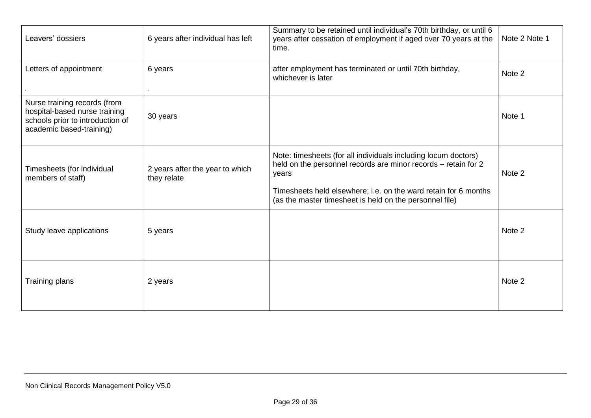| Leavers' dossiers                                                                                                             | 6 years after individual has left              | Summary to be retained until individual's 70th birthday, or until 6<br>years after cessation of employment if aged over 70 years at the<br>time.                                                                                                                        | Note 2 Note 1 |
|-------------------------------------------------------------------------------------------------------------------------------|------------------------------------------------|-------------------------------------------------------------------------------------------------------------------------------------------------------------------------------------------------------------------------------------------------------------------------|---------------|
| Letters of appointment                                                                                                        | 6 years                                        | after employment has terminated or until 70th birthday,<br>whichever is later                                                                                                                                                                                           | Note 2        |
| Nurse training records (from<br>hospital-based nurse training<br>schools prior to introduction of<br>academic based-training) | 30 years                                       |                                                                                                                                                                                                                                                                         | Note 1        |
| Timesheets (for individual<br>members of staff)                                                                               | 2 years after the year to which<br>they relate | Note: timesheets (for all individuals including locum doctors)<br>held on the personnel records are minor records - retain for 2<br>years<br>Timesheets held elsewhere; i.e. on the ward retain for 6 months<br>(as the master timesheet is held on the personnel file) | Note 2        |
| Study leave applications                                                                                                      | 5 years                                        |                                                                                                                                                                                                                                                                         | Note 2        |
| Training plans                                                                                                                | 2 years                                        |                                                                                                                                                                                                                                                                         | Note 2        |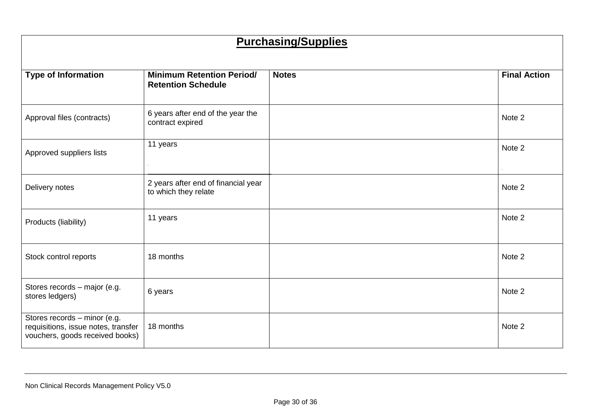# **Purchasing/Supplies**

| <b>Type of Information</b>                                                                             | <b>Minimum Retention Period/</b><br><b>Retention Schedule</b> | <b>Notes</b> | <b>Final Action</b> |
|--------------------------------------------------------------------------------------------------------|---------------------------------------------------------------|--------------|---------------------|
| Approval files (contracts)                                                                             | 6 years after end of the year the<br>contract expired         |              | Note 2              |
| Approved suppliers lists                                                                               | 11 years                                                      |              | Note 2              |
| Delivery notes                                                                                         | 2 years after end of financial year<br>to which they relate   |              | Note 2              |
| Products (liability)                                                                                   | 11 years                                                      |              | Note 2              |
| Stock control reports                                                                                  | 18 months                                                     |              | Note 2              |
| Stores records - major (e.g.<br>stores ledgers)                                                        | 6 years                                                       |              | Note 2              |
| Stores records - minor (e.g.<br>requisitions, issue notes, transfer<br>vouchers, goods received books) | 18 months                                                     |              | Note 2              |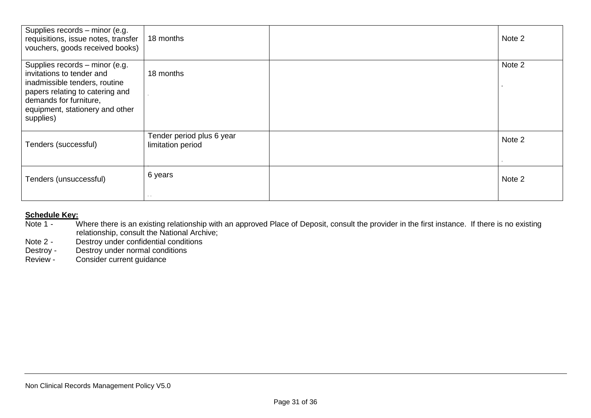| Supplies records - minor (e.g.<br>requisitions, issue notes, transfer<br>vouchers, goods received books)                                                                                                  | 18 months                                      | Note 2 |
|-----------------------------------------------------------------------------------------------------------------------------------------------------------------------------------------------------------|------------------------------------------------|--------|
| Supplies records - minor (e.g.<br>invitations to tender and<br>inadmissible tenders, routine<br>papers relating to catering and<br>demands for furniture,<br>equipment, stationery and other<br>supplies) | 18 months                                      | Note 2 |
| Tenders (successful)                                                                                                                                                                                      | Tender period plus 6 year<br>limitation period | Note 2 |
| Tenders (unsuccessful)                                                                                                                                                                                    | 6 years<br>10,000                              | Note 2 |

# **Schedule Key:**<br>Note 1 - W

- Where there is an existing relationship with an approved Place of Deposit, consult the provider in the first instance. If there is no existing relationship, consult the National Archive;<br>Note 2 - Destroy under confidential conditions
- Note 2 Destroy under confidential conditions<br>Destroy Destroy under normal conditions
- Destroy Destroy under normal conditions<br>Review Consider current quidance
- Consider current guidance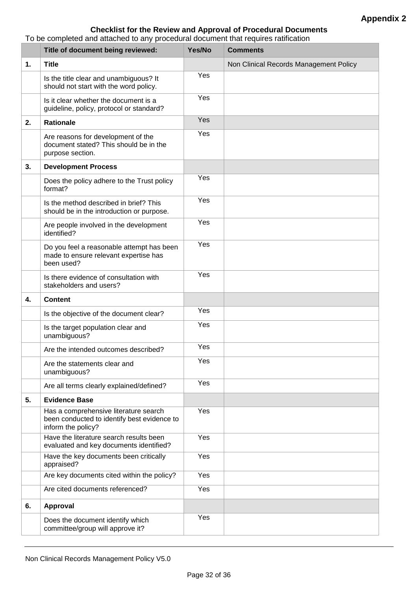# **Checklist for the Review and Approval of Procedural Documents**

To be completed and attached to any procedural document that requires ratification

|    | Title of document being reviewed:                                                                          | Yes/No | <b>Comments</b>                        |
|----|------------------------------------------------------------------------------------------------------------|--------|----------------------------------------|
| 1. | <b>Title</b>                                                                                               |        | Non Clinical Records Management Policy |
|    | Is the title clear and unambiguous? It<br>should not start with the word policy.                           | Yes    |                                        |
|    | Is it clear whether the document is a<br>guideline, policy, protocol or standard?                          | Yes    |                                        |
| 2. | <b>Rationale</b>                                                                                           | Yes    |                                        |
|    | Are reasons for development of the<br>document stated? This should be in the<br>purpose section.           | Yes    |                                        |
| 3. | <b>Development Process</b>                                                                                 |        |                                        |
|    | Does the policy adhere to the Trust policy<br>format?                                                      | Yes    |                                        |
|    | Is the method described in brief? This<br>should be in the introduction or purpose.                        | Yes    |                                        |
|    | Are people involved in the development<br>identified?                                                      | Yes    |                                        |
|    | Do you feel a reasonable attempt has been<br>made to ensure relevant expertise has<br>been used?           | Yes    |                                        |
|    | Is there evidence of consultation with<br>stakeholders and users?                                          | Yes    |                                        |
| 4. | <b>Content</b>                                                                                             |        |                                        |
|    | Is the objective of the document clear?                                                                    | Yes    |                                        |
|    | Is the target population clear and<br>unambiguous?                                                         | Yes    |                                        |
|    | Are the intended outcomes described?                                                                       | Yes    |                                        |
|    | Are the statements clear and<br>unambiguous?                                                               | Yes    |                                        |
|    | Are all terms clearly explained/defined?                                                                   | Yes    |                                        |
| 5. | <b>Evidence Base</b>                                                                                       |        |                                        |
|    | Has a comprehensive literature search<br>been conducted to identify best evidence to<br>inform the policy? | Yes    |                                        |
|    | Have the literature search results been<br>evaluated and key documents identified?                         | Yes    |                                        |
|    | Have the key documents been critically<br>appraised?                                                       | Yes    |                                        |
|    | Are key documents cited within the policy?                                                                 | Yes    |                                        |
|    | Are cited documents referenced?                                                                            | Yes    |                                        |
| 6. | <b>Approval</b>                                                                                            |        |                                        |
|    | Does the document identify which<br>committee/group will approve it?                                       | Yes    |                                        |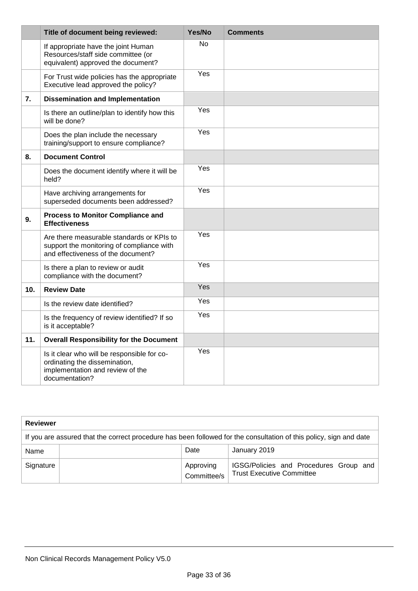|                 | Title of document being reviewed:                                                                                                  | Yes/No    | <b>Comments</b> |
|-----------------|------------------------------------------------------------------------------------------------------------------------------------|-----------|-----------------|
|                 | If appropriate have the joint Human<br>Resources/staff side committee (or<br>equivalent) approved the document?                    | <b>No</b> |                 |
|                 | For Trust wide policies has the appropriate<br>Executive lead approved the policy?                                                 | Yes       |                 |
| 7.              | <b>Dissemination and Implementation</b>                                                                                            |           |                 |
|                 | Is there an outline/plan to identify how this<br>will be done?                                                                     | Yes       |                 |
|                 | Does the plan include the necessary<br>training/support to ensure compliance?                                                      | Yes       |                 |
| 8.              | <b>Document Control</b>                                                                                                            |           |                 |
|                 | Does the document identify where it will be<br>held?                                                                               | Yes       |                 |
|                 | Have archiving arrangements for<br>superseded documents been addressed?                                                            | Yes       |                 |
| 9.              | <b>Process to Monitor Compliance and</b><br><b>Effectiveness</b>                                                                   |           |                 |
|                 | Are there measurable standards or KPIs to<br>support the monitoring of compliance with<br>and effectiveness of the document?       | Yes       |                 |
|                 | Is there a plan to review or audit<br>compliance with the document?                                                                | Yes       |                 |
| 10 <sub>1</sub> | <b>Review Date</b>                                                                                                                 | Yes       |                 |
|                 | Is the review date identified?                                                                                                     | Yes       |                 |
|                 | Is the frequency of review identified? If so<br>is it acceptable?                                                                  | Yes       |                 |
| 11.             | <b>Overall Responsibility for the Document</b>                                                                                     |           |                 |
|                 | Is it clear who will be responsible for co-<br>ordinating the dissemination,<br>implementation and review of the<br>documentation? | Yes       |                 |

| <b>Reviewer</b>                                                                                                    |  |                          |                                                                            |  |  |  |
|--------------------------------------------------------------------------------------------------------------------|--|--------------------------|----------------------------------------------------------------------------|--|--|--|
| If you are assured that the correct procedure has been followed for the consultation of this policy, sign and date |  |                          |                                                                            |  |  |  |
| Name                                                                                                               |  | Date                     | January 2019                                                               |  |  |  |
| Signature                                                                                                          |  | Approving<br>Committee/s | IGSG/Policies and Procedures Group and<br><b>Trust Executive Committee</b> |  |  |  |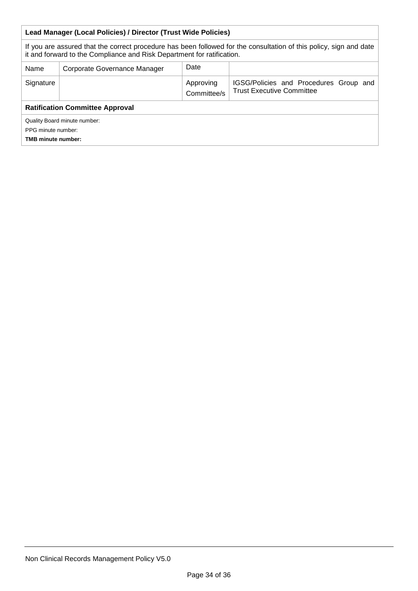| Lead Manager (Local Policies) / Director (Trust Wide Policies)                                                                                                                               |                                      |                          |                                                                            |  |  |  |
|----------------------------------------------------------------------------------------------------------------------------------------------------------------------------------------------|--------------------------------------|--------------------------|----------------------------------------------------------------------------|--|--|--|
| If you are assured that the correct procedure has been followed for the consultation of this policy, sign and date<br>it and forward to the Compliance and Risk Department for ratification. |                                      |                          |                                                                            |  |  |  |
| Name                                                                                                                                                                                         | Date<br>Corporate Governance Manager |                          |                                                                            |  |  |  |
| Signature                                                                                                                                                                                    |                                      | Approving<br>Committee/s | IGSG/Policies and Procedures Group and<br><b>Trust Executive Committee</b> |  |  |  |
| <b>Ratification Committee Approval</b>                                                                                                                                                       |                                      |                          |                                                                            |  |  |  |
| Quality Board minute number:<br>PPG minute number:<br><b>TMB minute number:</b>                                                                                                              |                                      |                          |                                                                            |  |  |  |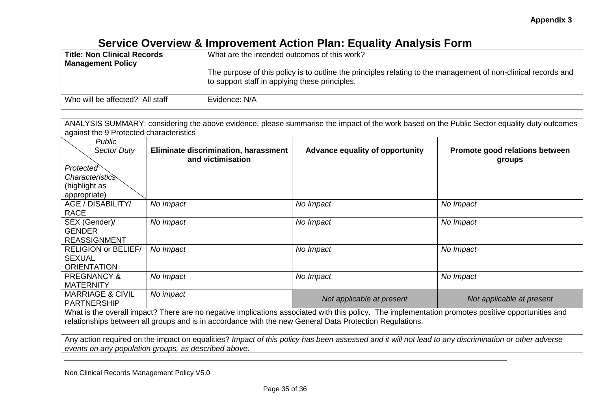# **Service Overview & Improvement Action Plan: Equality Analysis Form**

| <b>Title: Non Clinical Records</b> | What are the intended outcomes of this work?                                                                                                                     |
|------------------------------------|------------------------------------------------------------------------------------------------------------------------------------------------------------------|
| <b>Management Policy</b>           |                                                                                                                                                                  |
|                                    | The purpose of this policy is to outline the principles relating to the management of non-clinical records and<br>to support staff in applying these principles. |
| Who will be affected? All staff    | Evidence: N/A                                                                                                                                                    |

| ANALYSIS SUMMARY: considering the above evidence, please summarise the impact of the work based on the Public Sector equality duty outcomes |                                         |     |  |  |  |  |  |  |
|---------------------------------------------------------------------------------------------------------------------------------------------|-----------------------------------------|-----|--|--|--|--|--|--|
|                                                                                                                                             | against the 9 Protected characteristics |     |  |  |  |  |  |  |
|                                                                                                                                             | Public                                  | --- |  |  |  |  |  |  |

| <b>Sector Duty</b>                                                                                      | Eliminate discrimination, harassment<br>and victimisation                                                                                          | Advance equality of opportunity | Promote good relations between<br>groups |  |  |  |  |  |
|---------------------------------------------------------------------------------------------------------|----------------------------------------------------------------------------------------------------------------------------------------------------|---------------------------------|------------------------------------------|--|--|--|--|--|
| Protected                                                                                               |                                                                                                                                                    |                                 |                                          |  |  |  |  |  |
| <i>Characteristics</i>                                                                                  |                                                                                                                                                    |                                 |                                          |  |  |  |  |  |
| (highlight as                                                                                           |                                                                                                                                                    |                                 |                                          |  |  |  |  |  |
| appropriate)                                                                                            |                                                                                                                                                    |                                 |                                          |  |  |  |  |  |
| AGE / DISABILITY/                                                                                       | No Impact                                                                                                                                          | No Impact                       | No Impact                                |  |  |  |  |  |
| <b>RACE</b>                                                                                             |                                                                                                                                                    |                                 |                                          |  |  |  |  |  |
| SEX (Gender)/                                                                                           | No Impact                                                                                                                                          | No Impact                       | No Impact                                |  |  |  |  |  |
| <b>GENDER</b>                                                                                           |                                                                                                                                                    |                                 |                                          |  |  |  |  |  |
| <b>REASSIGNMENT</b>                                                                                     |                                                                                                                                                    |                                 |                                          |  |  |  |  |  |
| <b>RELIGION or BELIEF/</b>                                                                              | No Impact                                                                                                                                          | No Impact                       | No Impact                                |  |  |  |  |  |
| <b>SEXUAL</b>                                                                                           |                                                                                                                                                    |                                 |                                          |  |  |  |  |  |
| <b>ORIENTATION</b>                                                                                      |                                                                                                                                                    |                                 |                                          |  |  |  |  |  |
| <b>PREGNANCY &amp;</b>                                                                                  | No Impact                                                                                                                                          | No Impact                       | No Impact                                |  |  |  |  |  |
| <b>MATERNITY</b>                                                                                        |                                                                                                                                                    |                                 |                                          |  |  |  |  |  |
| <b>MARRIAGE &amp; CIVIL</b>                                                                             | No impact                                                                                                                                          | Not applicable at present       | Not applicable at present                |  |  |  |  |  |
| <b>PARTNERSHIP</b>                                                                                      |                                                                                                                                                    |                                 |                                          |  |  |  |  |  |
|                                                                                                         | What is the overall impact? There are no negative implications associated with this policy. The implementation promotes positive opportunities and |                                 |                                          |  |  |  |  |  |
| relationships between all groups and is in accordance with the new General Data Protection Regulations. |                                                                                                                                                    |                                 |                                          |  |  |  |  |  |

Any action required on the impact on equalities? *Impact of this policy has been assessed and it will not lead to any discrimination or other adverse events on any population groups, as described above.* 

Non Clinical Records Management Policy V5.0